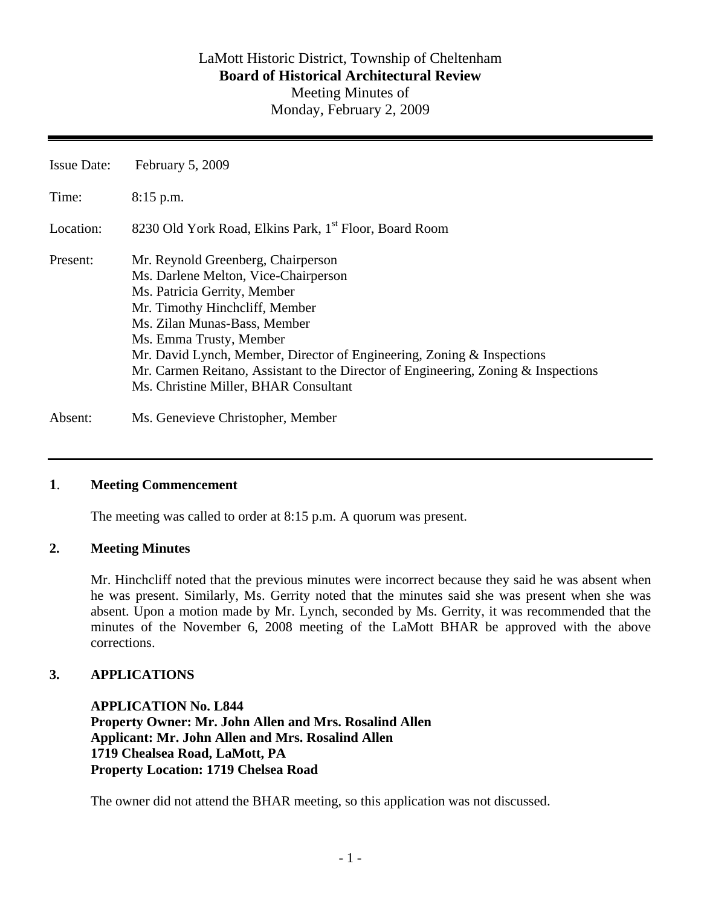# LaMott Historic District, Township of Cheltenham **Board of Historical Architectural Review**  Meeting Minutes of Monday, February 2, 2009

Issue Date: February 5, 2009 Time: 8:15 p.m. Location: 8230 Old York Road, Elkins Park, 1<sup>st</sup> Floor, Board Room Present: Mr. Reynold Greenberg, Chairperson Ms. Darlene Melton, Vice-Chairperson Ms. Patricia Gerrity, Member Mr. Timothy Hinchcliff, Member Ms. Zilan Munas-Bass, Member Ms. Emma Trusty, Member Mr. David Lynch, Member, Director of Engineering, Zoning & Inspections Mr. Carmen Reitano, Assistant to the Director of Engineering, Zoning & Inspections Ms. Christine Miller, BHAR Consultant

Absent: Ms. Genevieve Christopher, Member

## **1**. **Meeting Commencement**

The meeting was called to order at 8:15 p.m. A quorum was present.

#### **2. Meeting Minutes**

Mr. Hinchcliff noted that the previous minutes were incorrect because they said he was absent when he was present. Similarly, Ms. Gerrity noted that the minutes said she was present when she was absent. Upon a motion made by Mr. Lynch, seconded by Ms. Gerrity, it was recommended that the minutes of the November 6, 2008 meeting of the LaMott BHAR be approved with the above corrections.

## **3. APPLICATIONS**

**APPLICATION No. L844 Property Owner: Mr. John Allen and Mrs. Rosalind Allen Applicant: Mr. John Allen and Mrs. Rosalind Allen 1719 Chealsea Road, LaMott, PA Property Location: 1719 Chelsea Road** 

The owner did not attend the BHAR meeting, so this application was not discussed.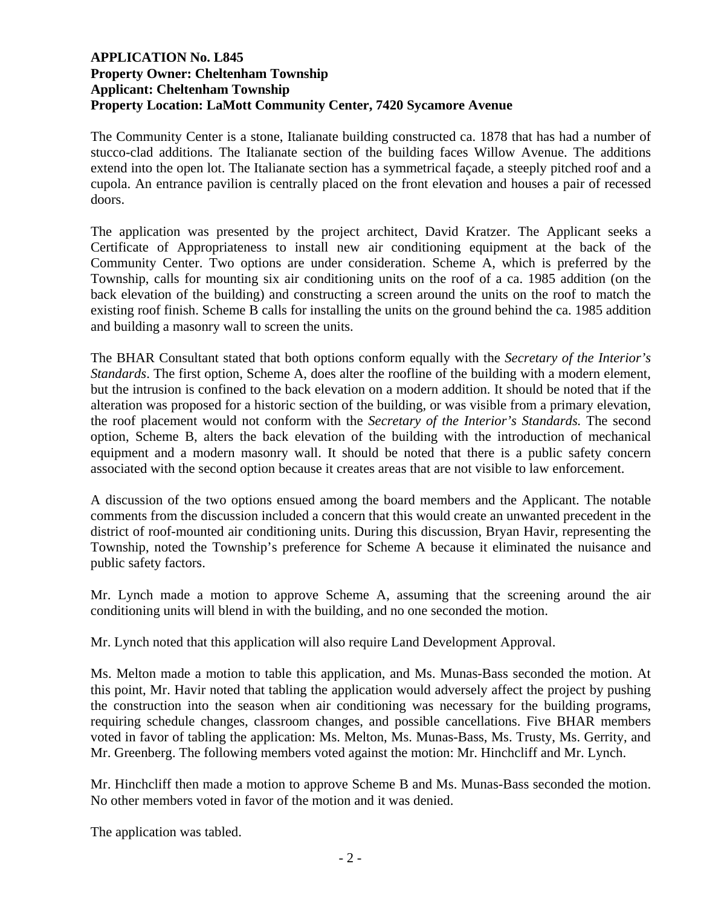## **APPLICATION No. L845 Property Owner: Cheltenham Township Applicant: Cheltenham Township Property Location: LaMott Community Center, 7420 Sycamore Avenue**

The Community Center is a stone, Italianate building constructed ca. 1878 that has had a number of stucco-clad additions. The Italianate section of the building faces Willow Avenue. The additions extend into the open lot. The Italianate section has a symmetrical façade, a steeply pitched roof and a cupola. An entrance pavilion is centrally placed on the front elevation and houses a pair of recessed doors.

The application was presented by the project architect, David Kratzer. The Applicant seeks a Certificate of Appropriateness to install new air conditioning equipment at the back of the Community Center. Two options are under consideration. Scheme A, which is preferred by the Township, calls for mounting six air conditioning units on the roof of a ca. 1985 addition (on the back elevation of the building) and constructing a screen around the units on the roof to match the existing roof finish. Scheme B calls for installing the units on the ground behind the ca. 1985 addition and building a masonry wall to screen the units.

The BHAR Consultant stated that both options conform equally with the *Secretary of the Interior's Standards*. The first option, Scheme A, does alter the roofline of the building with a modern element, but the intrusion is confined to the back elevation on a modern addition. It should be noted that if the alteration was proposed for a historic section of the building, or was visible from a primary elevation, the roof placement would not conform with the *Secretary of the Interior's Standards.* The second option, Scheme B, alters the back elevation of the building with the introduction of mechanical equipment and a modern masonry wall. It should be noted that there is a public safety concern associated with the second option because it creates areas that are not visible to law enforcement.

A discussion of the two options ensued among the board members and the Applicant. The notable comments from the discussion included a concern that this would create an unwanted precedent in the district of roof-mounted air conditioning units. During this discussion, Bryan Havir, representing the Township, noted the Township's preference for Scheme A because it eliminated the nuisance and public safety factors.

Mr. Lynch made a motion to approve Scheme A, assuming that the screening around the air conditioning units will blend in with the building, and no one seconded the motion.

Mr. Lynch noted that this application will also require Land Development Approval.

Ms. Melton made a motion to table this application, and Ms. Munas-Bass seconded the motion. At this point, Mr. Havir noted that tabling the application would adversely affect the project by pushing the construction into the season when air conditioning was necessary for the building programs, requiring schedule changes, classroom changes, and possible cancellations. Five BHAR members voted in favor of tabling the application: Ms. Melton, Ms. Munas-Bass, Ms. Trusty, Ms. Gerrity, and Mr. Greenberg. The following members voted against the motion: Mr. Hinchcliff and Mr. Lynch.

Mr. Hinchcliff then made a motion to approve Scheme B and Ms. Munas-Bass seconded the motion. No other members voted in favor of the motion and it was denied.

The application was tabled.